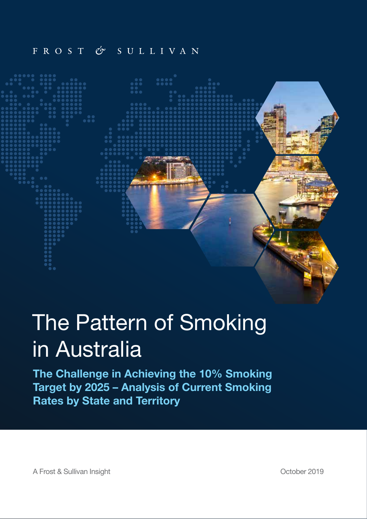## FROST & SULLIVAN



# The Pattern of Smoking in Australia

The Challenge in Achieving the 10% Smoking Target by 2025 – Analysis of Current Smoking Rates by State and Territory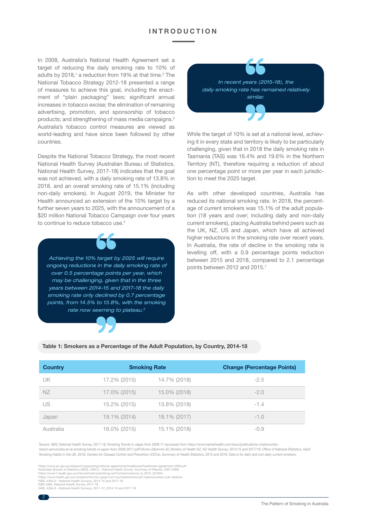#### **INTRODUCTION**

In 2008, Australia's National Health Agreement set a target of reducing the daily smoking rate to 10% of adults by 2018,<sup>1</sup> a reduction from 19% at that time.<sup>2</sup> The National Tobacco Strategy 2012-18 presented a range of measures to achieve this goal, including the enactment of "plain packaging" laws; significant annual increases in tobacco excise; the elimination of remaining advertising, promotion, and sponsorship of tobacco products; and strengthening of mass media campaigns.<sup>3</sup> Australia's tobacco control measures are viewed as world-leading and have since been followed by other countries.

Despite the National Tobacco Strategy, the most recent National Health Survey (Australian Bureau of Statistics, National Health Survey, 2017-18) indicates that the goal was not achieved, with a daily smoking rate of 13.8% in 2018, and an overall smoking rate of 15.1% (including non-daily smokers). In August 2019, the Minister for Health announced an extension of the 10% target by a further seven years to 2025, with the announcement of a \$20 million National Tobacco Campaign over four years to continue to reduce tobacco use.4



*In recent years (2015-18), the daily smoking rate has remained relatively similar.*

While the target of 10% is set at a national level, achieving it in every state and territory is likely to be particularly challenging, given that in 2018 the daily smoking rate in Tasmania (TAS) was 16.4% and 19.6% in the Northern Territory (NT), therefore requiring a reduction of about one percentage point or more per year in each jurisdiction to meet the 2025 target.

As with other developed countries, Australia has reduced its national smoking rate. In 2018, the percentage of current smokers was 15.1% of the adult population (18 years and over; including daily and non-daily current smokers), placing Australia behind peers such as the UK, NZ, US and Japan, which have all achieved higher reductions in the smoking rate over recent years. In Australia, the rate of decline in the smoking rate is levelling off, with a 0.9 percentage points reduction between 2015 and 2018, compared to 2.1 percentage points between 2012 and 2015.7

#### Table 1: Smokers as a Percentage of the Adult Population, by Country, 2014-18

| <b>Country</b> | <b>Smoking Rate</b> |              | <b>Change (Percentage Points)</b> |
|----------------|---------------------|--------------|-----------------------------------|
| UK             | 17.2% (2015)        | 14.7% (2018) | $-2.5$                            |
| <b>NZ</b>      | 17.0% (2015)        | 15.0% (2018) | $-2.0$                            |
| US             | 15.2% (2015)        | 13.8% (2018) | $-1.4$                            |
| Japan          | 19.1% (2014)        | 18.1% (2017) | $-1.0$                            |
| Australia      | 16.0% (2015)        | 15.1% (2018) | $-0.9$                            |

Source: ABS, National Health Survey, 2017-18; Smoking Trends in Japan from 2008-17 (accessed from https://www.kantarhealth.com/docs/publications-citations/sternbach-annunziata-et-al-smoking-trends-in-japan-from-2008-2017.pdf?sfvrsn=0&sfvrsn=0); Ministry of Health NZ, NZ Health Survey, 2014/15 and 2017/18: Ofce of National Statistics, Adult Smoking Habits in the UK, 2018; Centers for Disease Control and Prevention (CDCs), Summary of Health Statistics, 2015 and 2018. Data is for daily and non-daily current smokers.

https://www.pc.gov.au/research/supporting/national-agreements/healthcare/healthcare-agreement-2009.pdf<br>?Australian Bureau of Statistics (ABS), 4364.0 - National Health Survey: Summary of Results, 2007-2008<br>?https://www.hea

7 ABS, 4364.0 – National Health Surveys, 2011-12, 2014-15 and 2017-18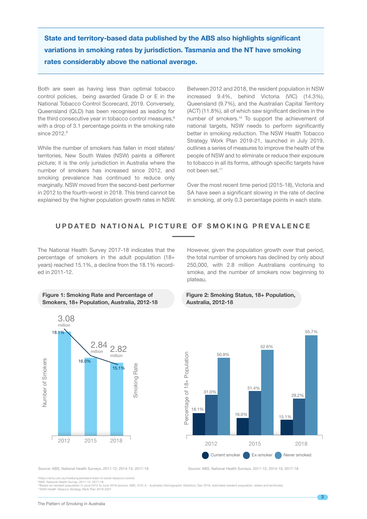State and territory-based data published by the ABS also highlights signicant variations in smoking rates by jurisdiction. Tasmania and the NT have smoking rates considerably above the national average.

Both are seen as having less than optimal tobacco control policies, being awarded Grade D or E in the National Tobacco Control Scorecard, 2019. Conversely, Queensland (QLD) has been recognised as leading for the third consecutive year in tobacco control measures,<sup>8</sup> with a drop of 3.1 percentage points in the smoking rate since  $2012.9$ 

While the number of smokers has fallen in most states/ territories, New South Wales (NSW) paints a different picture; it is the only jurisdiction in Australia where the number of smokers has increased since 2012, and smoking prevalence has continued to reduce only marginally. NSW moved from the second-best performer in 2012 to the fourth-worst in 2018. This trend cannot be explained by the higher population growth rates in NSW.

Between 2012 and 2018, the resident population in NSW increased 9.4%, behind Victoria (VIC) (14.3%), Queensland (9.7%), and the Australian Capital Territory (ACT) (11.8%), all of which saw significant declines in the number of smokers.10 To support the achievement of national targets, NSW needs to perform significantly better in smoking reduction. The NSW Health Tobacco Strategy Work Plan 2019-21, launched in July 2019, outlines a series of measures to improve the health of the people of NSW and to eliminate or reduce their exposure to tobacco in all its forms, although specific targets have not been set.<sup>11</sup>

Over the most recent time period (2015-18), Victoria and SA have seen a significant slowing in the rate of decline in smoking, at only 0.3 percentage points in each state.

### UPDATED NATIONAL PICTURE OF SMOKING PREVALENCE

The National Health Survey 2017-18 indicates that the percentage of smokers in the adult population (18+ years) reached 15.1%, a decline from the 18.1% recorded in 2011-12.

#### Figure 1: Smoking Rate and Percentage of Smokers, 18+ Population, Australia, 2012-18



However, given the population growth over that period, the total number of smokers has declined by only about 250,000, with 2.8 million Australians continuing to smoke, and the number of smokers now beginning to plateau.





8 https://ama.com.au/media/queensland-best-nt-worst-tobacco-control

ºABS, National Health Survey, 2011-12; 2017-18<br>ººBased on resident population in June 2012 to June 2018 (source: ABS, 3101.0 – Australian Demographic Statistics, Dec 2018, estimated resident population, states and territor 11NSW Health Tobacco Strategy Work Plan 2019-2021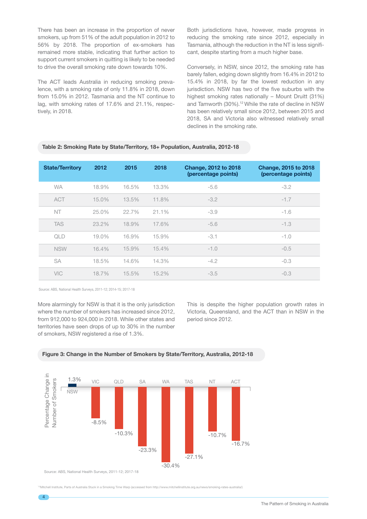There has been an increase in the proportion of never smokers, up from 51% of the adult population in 2012 to 56% by 2018. The proportion of ex-smokers has remained more stable, indicating that further action to support current smokers in quitting is likely to be needed to drive the overall smoking rate down towards 10%.

The ACT leads Australia in reducing smoking prevalence, with a smoking rate of only 11.8% in 2018, down from 15.0% in 2012. Tasmania and the NT continue to lag, with smoking rates of 17.6% and 21.1%, respectively, in 2018.

Both jurisdictions have, however, made progress in reducing the smoking rate since 2012, especially in Tasmania, although the reduction in the NT is less significant, despite starting from a much higher base.

Conversely, in NSW, since 2012, the smoking rate has barely fallen, edging down slightly from 16.4% in 2012 to 15.4% in 2018, by far the lowest reduction in any jurisdiction. NSW has two of the five suburbs with the highest smoking rates nationally – Mount Druitt (31%) and Tamworth (30%).<sup>12</sup> While the rate of decline in NSW has been relatively small since 2012, between 2015 and 2018, SA and Victoria also witnessed relatively small declines in the smoking rate.

#### Table 2: Smoking Rate by State/Territory, 18+ Population, Australia, 2012-18

| <b>State/Territory</b> | 2012     | 2015  | 2018  | <b>Change, 2012 to 2018</b><br>(percentage points) | <b>Change, 2015 to 2018</b><br>(percentage points) |
|------------------------|----------|-------|-------|----------------------------------------------------|----------------------------------------------------|
| <b>WA</b>              | 18.9%    | 16.5% | 13.3% | $-5.6$                                             | $-3.2$                                             |
| <b>ACT</b>             | $15.0\%$ | 13.5% | 11.8% | $-3.2$                                             | $-1.7$                                             |
| NT                     | 25.0%    | 22.7% | 21.1% | $-3.9$                                             | $-1.6$                                             |
| <b>TAS</b>             | 23.2%    | 18.9% | 17.6% | $-5.6$                                             | $-1.3$                                             |
| QLD                    | 19.0%    | 16.9% | 15.9% | $-3.1$                                             | $-1.0$                                             |
| <b>NSW</b>             | 16.4%    | 15.9% | 15.4% | $-1.0$                                             | $-0.5$                                             |
| <b>SA</b>              | 18.5%    | 14.6% | 14.3% | $-4.2$                                             | $-0.3$                                             |
| <b>VIC</b>             | 18.7%    | 15.5% | 15.2% | $-3.5$                                             | $-0.3$                                             |

Source: ABS, National Health Surveys, 2011-12; 2014-15; 2017-18

More alarmingly for NSW is that it is the only jurisdiction where the number of smokers has increased since 2012, from 912,000 to 924,000 in 2018. While other states and territories have seen drops of up to 30% in the number of smokers, NSW registered a rise of 1.3%.

This is despite the higher population growth rates in Victoria, Queensland, and the ACT than in NSW in the period since 2012.





Source: ABS, National Health Surveys, 2011-12; 2017-18

<sup>2</sup>Mitchell Institute, Parts of Australia Stuck in a Smoking Time Warp (accessed from http://www.mitchellinstitute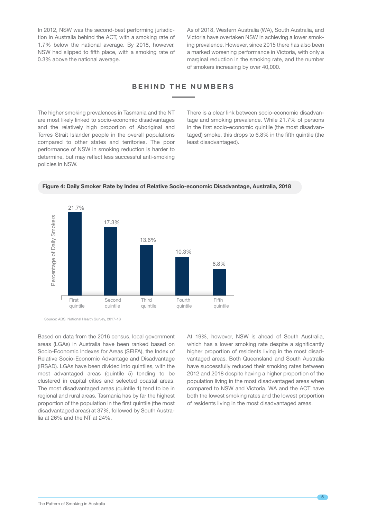In 2012, NSW was the second-best performing jurisdiction in Australia behind the ACT, with a smoking rate of 1.7% below the national average. By 2018, however, NSW had slipped to fifth place, with a smoking rate of 0.3% above the national average.

As of 2018, Western Australia (WA), South Australia, and Victoria have overtaken NSW in achieving a lower smoking prevalence. However, since 2015 there has also been a marked worsening performance in Victoria, with only a marginal reduction in the smoking rate, and the number of smokers increasing by over 40,000.

### BEHIND THE NUMBERS

The higher smoking prevalences in Tasmania and the NT are most likely linked to socio-economic disadvantages and the relatively high proportion of Aboriginal and Torres Strait Islander people in the overall populations compared to other states and territories. The poor performance of NSW in smoking reduction is harder to determine, but may reflect less successful anti-smoking policies in NSW.

There is a clear link between socio-economic disadvantage and smoking prevalence. While 21.7% of persons in the first socio-economic quintile (the most disadvantaged) smoke, this drops to 6.8% in the fifth quintile (the least disadvantaged).





Source: ABS, National Health Survey, 2017-18

Based on data from the 2016 census, local government areas (LGAs) in Australia have been ranked based on Socio-Economic Indexes for Areas (SEIFA), the Index of Relative Socio-Economic Advantage and Disadvantage (IRSAD). LGAs have been divided into quintiles, with the most advantaged areas (quintile 5) tending to be clustered in capital cities and selected coastal areas. The most disadvantaged areas (quintile 1) tend to be in regional and rural areas. Tasmania has by far the highest proportion of the population in the first quintile (the most disadvantaged areas) at 37%, followed by South Australia at 26% and the NT at 24%.

At 19%, however, NSW is ahead of South Australia, which has a lower smoking rate despite a significantly higher proportion of residents living in the most disadvantaged areas. Both Queensland and South Australia have successfully reduced their smoking rates between 2012 and 2018 despite having a higher proportion of the population living in the most disadvantaged areas when compared to NSW and Victoria. WA and the ACT have both the lowest smoking rates and the lowest proportion of residents living in the most disadvantaged areas.

5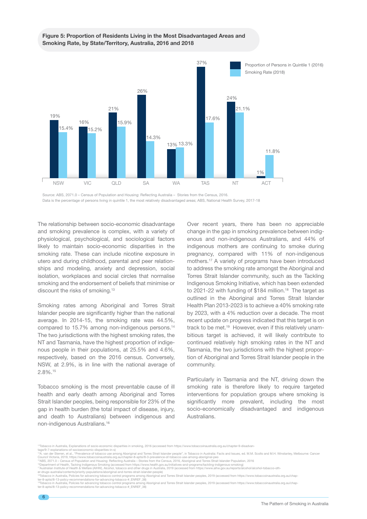#### Figure 5: Proportion of Residents Living in the Most Disadvantaged Areas and Smoking Rate, by State/Territory, Australia, 2016 and 2018



Source: ABS, 2071.0 - Census of Population and Housing: Reflecting Australia - Stories from the Census, 2016. Data is the percentage of persons living in quintile 1, the most relatively disadvantaged areas; ABS, National Health Survey, 2017-18

The relationship between socio-economic disadvantage and smoking prevalence is complex, with a variety of physiological, psychological, and sociological factors likely to maintain socio-economic disparities in the smoking rate. These can include nicotine exposure in utero and during childhood, parental and peer relationships and modeling, anxiety and depression, social isolation, workplaces and social circles that normalise smoking and the endorsement of beliefs that minimise or discount the risks of smoking.<sup>13</sup>

Smoking rates among Aboriginal and Torres Strait Islander people are significantly higher than the national average. In 2014-15, the smoking rate was 44.5%, compared to 15.7% among non-indigenous persons.14 The two jurisdictions with the highest smoking rates, the NT and Tasmania, have the highest proportion of indigenous people in their populations, at 25.5% and 4.6%, respectively, based on the 2016 census. Conversely, NSW, at 2.9%, is in line with the national average of 2.8%.15

Tobacco smoking is the most preventable cause of ill health and early death among Aboriginal and Torres Strait Islander peoples, being responsible for 23% of the gap in health burden (the total impact of disease, injury, and death to Australians) between indigenous and non-indigenous Australians.16

Over recent years, there has been no appreciable change in the gap in smoking prevalence between indigenous and non-indigenous Australians, and 44% of indigenous mothers are continuing to smoke during pregnancy, compared with 11% of non-indigenous mothers.17 A variety of programs have been introduced to address the smoking rate amongst the Aboriginal and Torres Strait Islander community, such as the Tackling Indigenous Smoking Initiative, which has been extended to 2021-22 with funding of \$184 million.<sup>18</sup> The target as outlined in the Aboriginal and Torres Strait Islander Health Plan 2013-2023 is to achieve a 40% smoking rate by 2023, with a 4% reduction over a decade. The most recent update on progress indicated that this target is on track to be met.<sup>19</sup> However, even if this relatively unambitious target is achieved, it will likely contribute to continued relatively high smoking rates in the NT and Tasmania, the two jurisdictions with the highest proportion of Aboriginal and Torres Strait Islander people in the community.

Particularly in Tasmania and the NT, driving down the smoking rate is therefore likely to require targeted interventions for population groups where smoking is significantly more prevalent, including the most socio-economically disadvantaged and indigenous Australians.

<sup>&</sup>lt;sup>13</sup>Tobacco in Australia, Explanations of socio-economic disparities in smoking, 2016 (accessed from https://www.tobaccoinaustralia.org.au/chapter-9-disadvan-<br>tage/9-7-explanations-of-socioeconomic-disparities-in-s)

usuo 7 сорышенно от особосонном сырышести подделатами в тем стандарт в стандарт и простоительно стандарт и ста<br>"A. van der Sterren, et al., "Prevalence of tobacco use among Aboriginal and Torres Strait Islander people", i

Council Victoria, 2019, https://www.tobaccoinaustralia.org.au/chapter-8-aptsi/8-3-prevalence-of-tobacco-use-among-aboriginal-peo<br>"Masks 2011.o – Census of Population and Housing: Reflecting Australia – Stories from the Cen

ter-8-aptsi/8-13-policy-recommendations-for-advancing-tobacco-#\_ENREF\_38)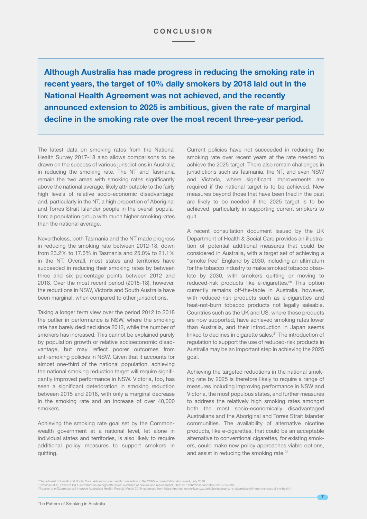Although Australia has made progress in reducing the smoking rate in recent years, the target of 10% daily smokers by 2018 laid out in the National Health Agreement was not achieved, and the recently announced extension to 2025 is ambitious, given the rate of marginal decline in the smoking rate over the most recent three-year period.

The latest data on smoking rates from the National Health Survey 2017-18 also allows comparisons to be drawn on the success of various jurisdictions in Australia in reducing the smoking rate. The NT and Tasmania remain the two areas with smoking rates significantly above the national average, likely attributable to the fairly high levels of relative socio-economic disadvantage, and, particularly in the NT, a high proportion of Aboriginal and Torres Strait Islander people in the overall population; a population group with much higher smoking rates than the national average.

Nevertheless, both Tasmania and the NT made progress in reducing the smoking rate between 2012-18, down from 23.2% to 17.6% in Tasmania and 25.0% to 21.1% in the NT. Overall, most states and territories have succeeded in reducing their smoking rates by between three and six percentage points between 2012 and 2018. Over the most recent period (2015-18), however, the reductions in NSW, Victoria and South Australia have been marginal, when compared to other jurisdictions.

Taking a longer term view over the period 2012 to 2018 the outlier in performance is NSW, where the smoking rate has barely declined since 2012, while the number of smokers has increased. This cannot be explained purely by population growth or relative socioeconomic disadvantage, but may reflect poorer outcomes from anti-smoking policies in NSW. Given that it accounts for almost one-third of the national population, achieving the national smoking reduction target will require significantly improved performance in NSW. Victoria, too, has seen a significant deterioration in smoking reduction between 2015 and 2018, with only a marginal decrease in the smoking rate and an increase of over 40,000 smokers.

Achieving the smoking rate goal set by the Commonwealth government at a national level, let alone in individual states and territories, is also likely to require additional policy measures to support smokers in quitting.

Current policies have not succeeded in reducing the smoking rate over recent years at the rate needed to achieve the 2025 target. There also remain challenges in jurisdictions such as Tasmania, the NT, and even NSW and Victoria, where significant improvements are required if the national target is to be achieved. New measures beyond those that have been tried in the past are likely to be needed if the 2025 target is to be achieved, particularly in supporting current smokers to quit.

A recent consultation document issued by the UK Department of Health & Social Care provides an illustration of potential additional measures that could be considered in Australia, with a target set of achieving a "smoke free" England by 2030, including an ultimatum for the tobacco industry to make smoked tobacco obsolete by 2030, with smokers quitting or moving to reduced-risk products like e-cigarettes.<sup>20</sup> This option currently remains off-the-table in Australia, however, with reduced-risk products such as e-cigarettes and heat-not-burn tobacco products not legally saleable. Countries such as the UK and US, where these products are now supported, have achieved smoking rates lower than Australia, and their introduction in Japan seems linked to declines in cigarette sales.<sup>21</sup> The introduction of regulation to support the use of reduced-risk products in Australia may be an important step in achieving the 2025 goal.

Achieving the targeted reductions in the national smoking rate by 2025 is therefore likely to require a range of measures including improving performance in NSW and Victoria, the most populous states, and further measures to address the relatively high smoking rates amongst both the most socio-economically disadvantaged Australians and the Aboriginal and Torres Strait Islander communities. The availability of alternative nicotine products, like e-cigarettes, that could be an acceptable alternative to conventional cigarettes, for existing smokers, could make new policy approaches viable options, and assist in reducing the smoking rate.<sup>22</sup>

∞Department of Health and Social Care, Advancing our health: prevention in the 2020s – consultation document, July 2019<br>° Stoklosa et al, Effect of IQOS introduction on cigarette sales: evidence of decline and replacemen